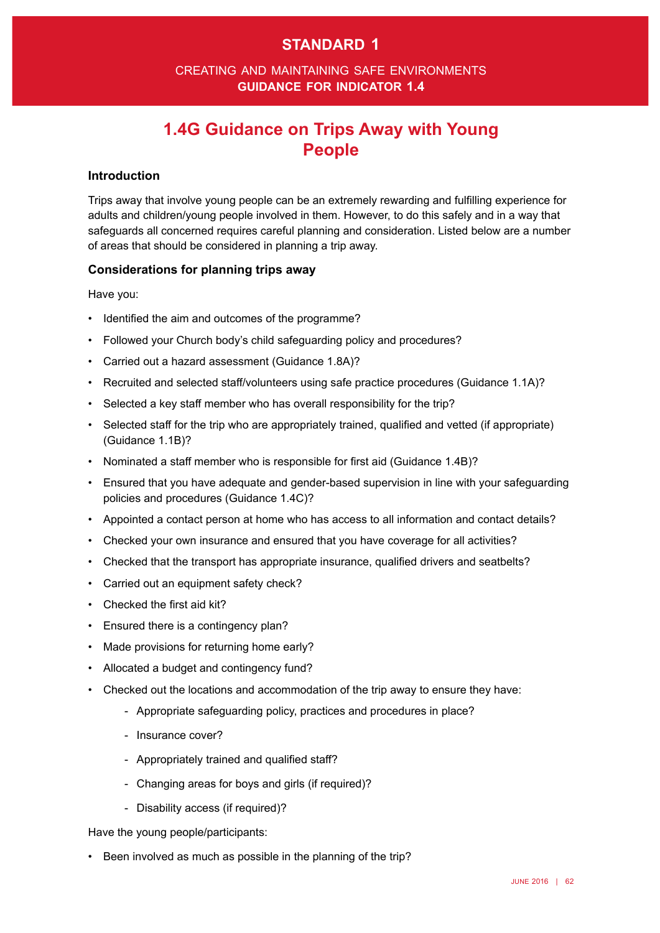## **standard 1**

### creating and maintaining safe environments **guidance for indicator 1.4**

# **1.4G Guidance on Trips Away with Young People**

#### **Introduction**

Trips away that involve young people can be an extremely rewarding and fulflling experience for adults and children/young people involved in them. However, to do this safely and in a way that safeguards all concerned requires careful planning and consideration. Listed below are a number of areas that should be considered in planning a trip away.

#### **Considerations for planning trips away**

Have you:

- Identified the aim and outcomes of the programme?
- Followed your Church body's child safeguarding policy and procedures?
- Carried out a hazard assessment (Guidance 1.8A)?
- Recruited and selected staff/volunteers using safe practice procedures (Guidance 1.1A)?
- Selected a key staff member who has overall responsibility for the trip?
- • Selected staff for the trip who are appropriately trained, qualifed and vetted (if appropriate) (Guidance 1.1B)?
- Nominated a staff member who is responsible for first aid (Guidance 1.4B)?
- Ensured that you have adequate and gender-based supervision in line with your safequarding policies and procedures (Guidance 1.4C)?
- • Appointed a contact person at home who has access to all information and contact details?
- • Checked your own insurance and ensured that you have coverage for all activities?
- • Checked that the transport has appropriate insurance, qualifed drivers and seatbelts?
- • Carried out an equipment safety check?
- Checked the first aid kit?
- Ensured there is a contingency plan?
- Made provisions for returning home early?
- Allocated a budget and contingency fund?
- Checked out the locations and accommodation of the trip away to ensure they have:
	- Appropriate safeguarding policy, practices and procedures in place?
	- Insurance cover?
	- Appropriately trained and qualifed staff?
	- Changing areas for boys and girls (if required)?
	- Disability access (if required)?

Have the young people/participants:

• Been involved as much as possible in the planning of the trip?